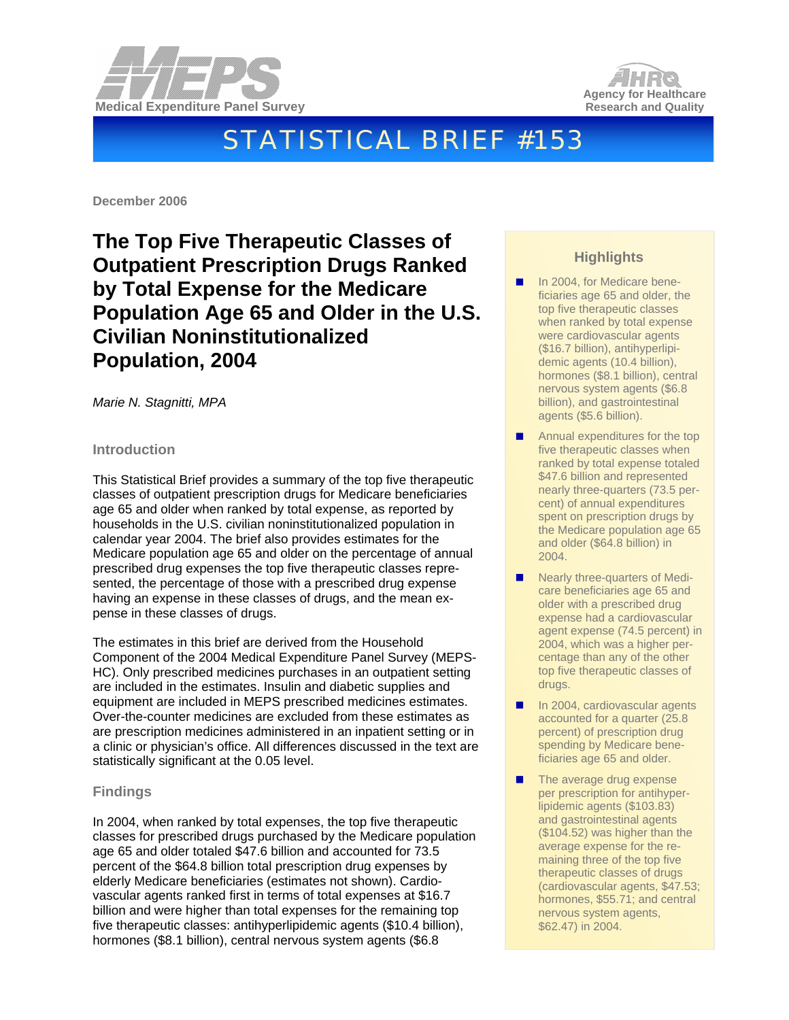



# STATISTICAL BRIEF #153

**December 2006** 

# **The Top Five Therapeutic Classes of Outpatient Prescription Drugs Ranked by Total Expense for the Medicare Population Age 65 and Older in the U.S. Civilian Noninstitutionalized Population, 2004**

*Marie N. Stagnitti, MPA* 

# **Introduction**

This Statistical Brief provides a summary of the top five therapeutic classes of outpatient prescription drugs for Medicare beneficiaries age 65 and older when ranked by total expense, as reported by households in the U.S. civilian noninstitutionalized population in calendar year 2004. The brief also provides estimates for the Medicare population age 65 and older on the percentage of annual prescribed drug expenses the top five therapeutic classes represented, the percentage of those with a prescribed drug expense having an expense in these classes of drugs, and the mean expense in these classes of drugs.

The estimates in this brief are derived from the Household Component of the 2004 Medical Expenditure Panel Survey (MEPS-HC). Only prescribed medicines purchases in an outpatient setting are included in the estimates. Insulin and diabetic supplies and equipment are included in MEPS prescribed medicines estimates. Over-the-counter medicines are excluded from these estimates as are prescription medicines administered in an inpatient setting or in a clinic or physician's office. All differences discussed in the text are statistically significant at the 0.05 level.

# **Findings**

In 2004, when ranked by total expenses, the top five therapeutic classes for prescribed drugs purchased by the Medicare population age 65 and older totaled \$47.6 billion and accounted for 73.5 percent of the \$64.8 billion total prescription drug expenses by elderly Medicare beneficiaries (estimates not shown). Cardiovascular agents ranked first in terms of total expenses at \$16.7 billion and were higher than total expenses for the remaining top five therapeutic classes: antihyperlipidemic agents (\$10.4 billion), hormones (\$8.1 billion), central nervous system agents (\$6.8

# **Highlights**

- In 2004, for Medicare beneficiaries age 65 and older, the top five therapeutic classes when ranked by total expense were cardiovascular agents (\$16.7 billion), antihyperlipidemic agents (10.4 billion), hormones (\$8.1 billion), central nervous system agents (\$6.8 billion), and gastrointestinal agents (\$5.6 billion).
- **Annual expenditures for the top** five therapeutic classes when ranked by total expense totaled \$47.6 billion and represented nearly three-quarters (73.5 percent) of annual expenditures spent on prescription drugs by the Medicare population age 65 and older (\$64.8 billion) in 2004.
- Nearly three-quarters of Medicare beneficiaries age 65 and older with a prescribed drug expense had a cardiovascular agent expense (74.5 percent) in 2004, which was a higher percentage than any of the other top five therapeutic classes of drugs.
- In 2004, cardiovascular agents accounted for a quarter (25.8 percent) of prescription drug spending by Medicare beneficiaries age 65 and older.
- The average drug expense per prescription for antihyperlipidemic agents (\$103.83) and gastrointestinal agents (\$104.52) was higher than the average expense for the remaining three of the top five therapeutic classes of drugs (cardiovascular agents, \$47.53; hormones, \$55.71; and central nervous system agents, \$62.47) in 2004.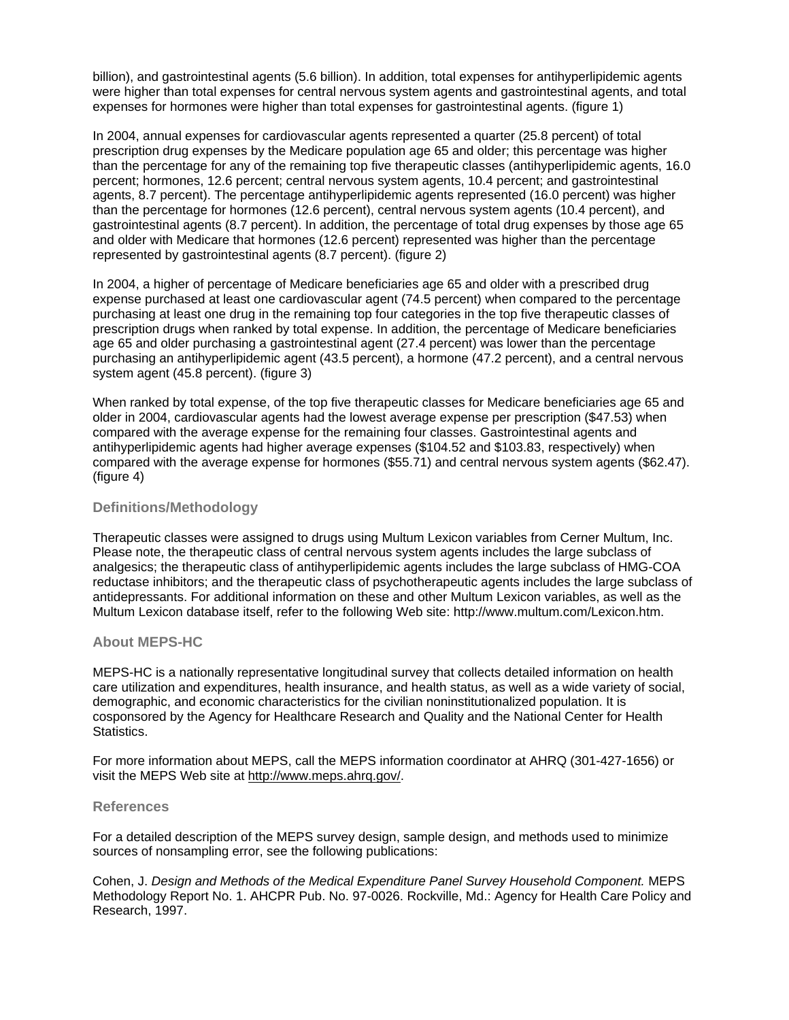billion), and gastrointestinal agents (5.6 billion). In addition, total expenses for antihyperlipidemic agents were higher than total expenses for central nervous system agents and gastrointestinal agents, and total expenses for hormones were higher than total expenses for gastrointestinal agents. (figure 1)

In 2004, annual expenses for cardiovascular agents represented a quarter (25.8 percent) of total prescription drug expenses by the Medicare population age 65 and older; this percentage was higher than the percentage for any of the remaining top five therapeutic classes (antihyperlipidemic agents, 16.0 percent; hormones, 12.6 percent; central nervous system agents, 10.4 percent; and gastrointestinal agents, 8.7 percent). The percentage antihyperlipidemic agents represented (16.0 percent) was higher than the percentage for hormones (12.6 percent), central nervous system agents (10.4 percent), and gastrointestinal agents (8.7 percent). In addition, the percentage of total drug expenses by those age 65 and older with Medicare that hormones (12.6 percent) represented was higher than the percentage represented by gastrointestinal agents (8.7 percent). (figure 2)

In 2004, a higher of percentage of Medicare beneficiaries age 65 and older with a prescribed drug expense purchased at least one cardiovascular agent (74.5 percent) when compared to the percentage purchasing at least one drug in the remaining top four categories in the top five therapeutic classes of prescription drugs when ranked by total expense. In addition, the percentage of Medicare beneficiaries age 65 and older purchasing a gastrointestinal agent (27.4 percent) was lower than the percentage purchasing an antihyperlipidemic agent (43.5 percent), a hormone (47.2 percent), and a central nervous system agent (45.8 percent). (figure 3)

When ranked by total expense, of the top five therapeutic classes for Medicare beneficiaries age 65 and older in 2004, cardiovascular agents had the lowest average expense per prescription (\$47.53) when compared with the average expense for the remaining four classes. Gastrointestinal agents and antihyperlipidemic agents had higher average expenses (\$104.52 and \$103.83, respectively) when compared with the average expense for hormones (\$55.71) and central nervous system agents (\$62.47). (figure 4)

### **Definitions/Methodology**

Therapeutic classes were assigned to drugs using Multum Lexicon variables from Cerner Multum, Inc. Please note, the therapeutic class of central nervous system agents includes the large subclass of analgesics; the therapeutic class of antihyperlipidemic agents includes the large subclass of HMG-COA reductase inhibitors; and the therapeutic class of psychotherapeutic agents includes the large subclass of antidepressants. For additional information on these and other Multum Lexicon variables, as well as the Multum Lexicon database itself, refer to the following Web site: http://www.multum.com/Lexicon.htm.

#### **About MEPS-HC**

MEPS-HC is a nationally representative longitudinal survey that collects detailed information on health care utilization and expenditures, health insurance, and health status, as well as a wide variety of social, demographic, and economic characteristics for the civilian noninstitutionalized population. It is cosponsored by the Agency for Healthcare Research and Quality and the National Center for Health Statistics.

For more information about MEPS, call the MEPS information coordinator at AHRQ (301-427-1656) or visit the MEPS Web site at [http://www.meps.ahrq.gov/.](http://www.meps.ahrq.gov/)

## **References**

For a detailed description of the MEPS survey design, sample design, and methods used to minimize sources of nonsampling error, see the following publications:

Cohen, J. *Design and Methods of the Medical Expenditure Panel Survey Household Component.* MEPS Methodology Report No. 1. AHCPR Pub. No. 97-0026. Rockville, Md.: Agency for Health Care Policy and Research, 1997.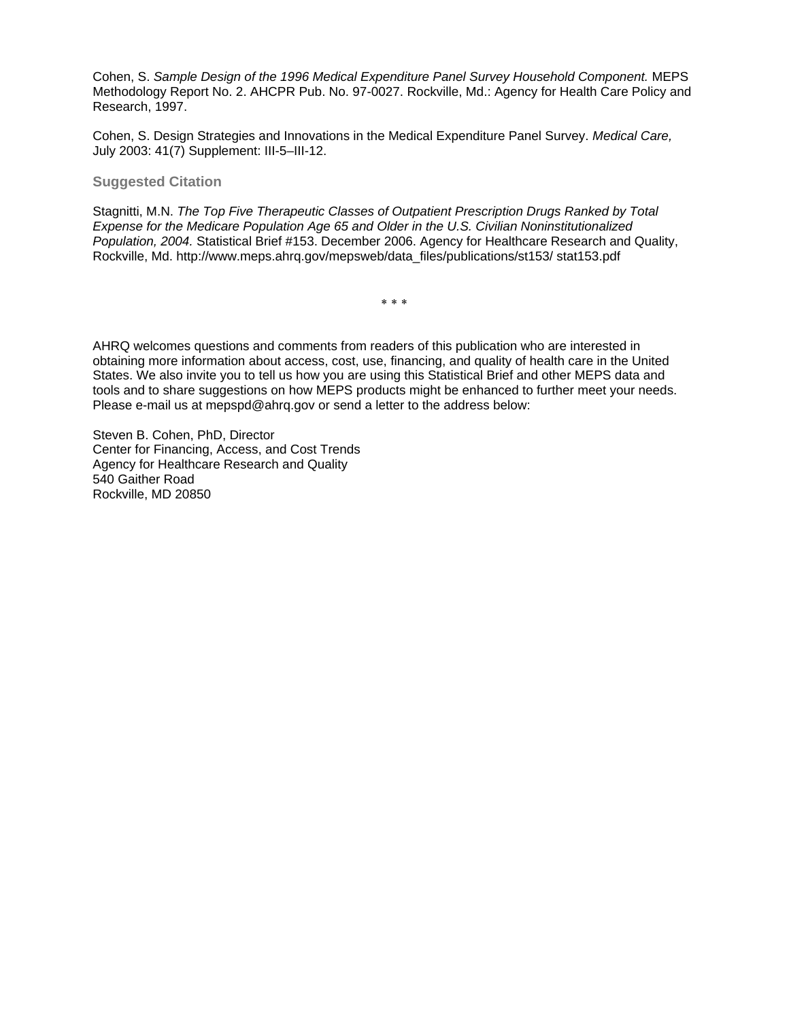Cohen, S. *Sample Design of the 1996 Medical Expenditure Panel Survey Household Component.* MEPS Methodology Report No. 2. AHCPR Pub. No. 97-0027. Rockville, Md.: Agency for Health Care Policy and Research, 1997.

Cohen, S. Design Strategies and Innovations in the Medical Expenditure Panel Survey. *Medical Care,* July 2003: 41(7) Supplement: III-5–III-12.

**Suggested Citation** 

Stagnitti, M.N. *The Top Five Therapeutic Classes of Outpatient Prescription Drugs Ranked by Total Expense for the Medicare Population Age 65 and Older in the U.S. Civilian Noninstitutionalized Population, 2004.* Statistical Brief #153. December 2006. Agency for Healthcare Research and Quality, Rockville, Md. http://www.meps.ahrq.gov/mepsweb/data\_files/publications/st153/ stat153.pdf

∗ ∗ ∗

AHRQ welcomes questions and comments from readers of this publication who are interested in obtaining more information about access, cost, use, financing, and quality of health care in the United States. We also invite you to tell us how you are using this Statistical Brief and other MEPS data and tools and to share suggestions on how MEPS products might be enhanced to further meet your needs. Please e-mail us at mepspd@ahrq.gov or send a letter to the address below:

Steven B. Cohen, PhD, Director Center for Financing, Access, and Cost Trends Agency for Healthcare Research and Quality 540 Gaither Road Rockville, MD 20850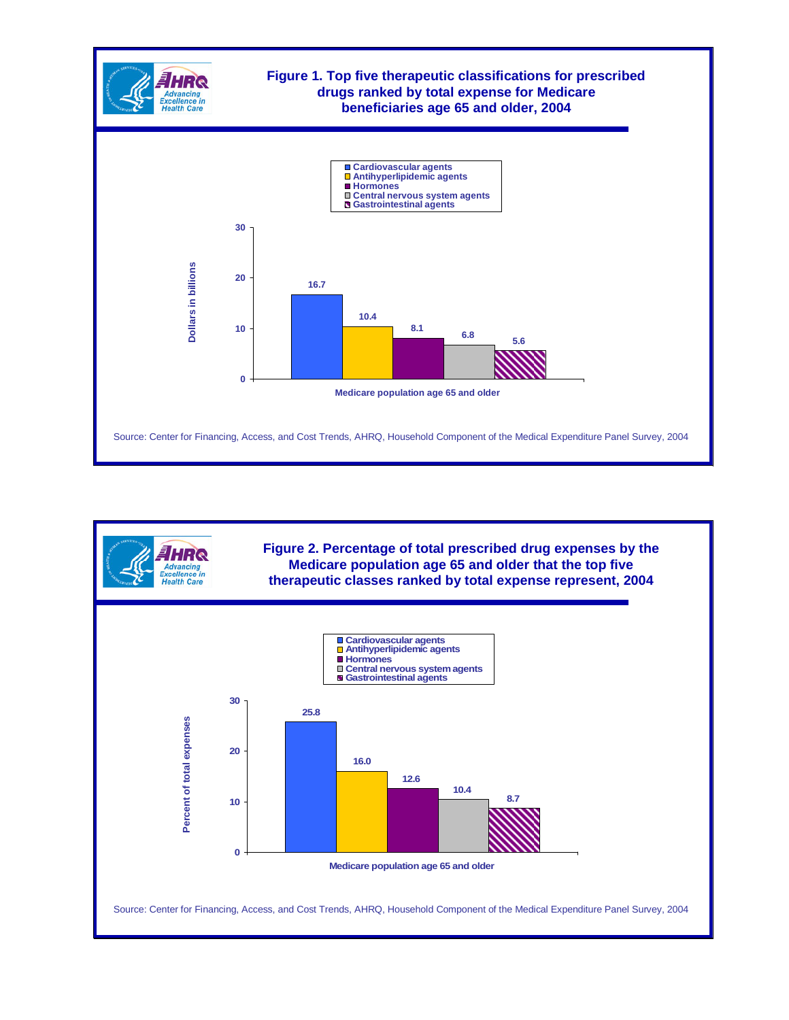